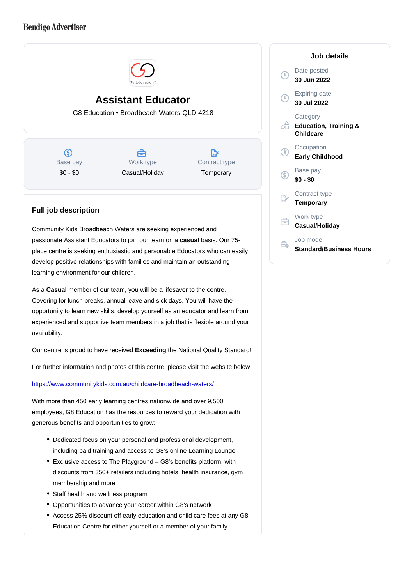## Assistant Educator

G8 Education • Broadbeach Waters QLD 4218

Base pay \$0 - \$0

Work type Casual/Holiday Contract type **Temporary** 

## Full job description

Community Kids Broadbeach Waters are seeking experienced and passionate Assistant Educators to join our team on a casual basis. Our 75place centre is seeking enthusiastic and personable Educators who can easily develop positive relationships with families and maintain an outstanding learning environment for our children.

As a Casual member of our team, you will be a lifesaver to the centre. Covering for lunch breaks, annual leave and sick days. You will have the opportunity to learn new skills, develop yourself as an educator and learn from experienced and supportive team members in a job that is flexible around your availability.

Our centre is proud to have received Exceeding the National Quality Standard!

For further information and photos of this centre, please visit the website below:

<https://www.communitykids.com.au/childcare-broadbeach-waters/>

With more than 450 early learning centres nationwide and over 9,500 employees, G8 Education has the resources to reward your dedication with generous benefits and opportunities to grow:

- Dedicated focus on your personal and professional development, including paid training and access to G8's online Learning Lounge
- Exclusive access to The Playground G8's benefits platform, with discounts from 350+ retailers including hotels, health insurance, gym membership and more
- Staff health and wellness program
- Opportunities to advance your career within G8's network
- Access 25% discount off early education and child care fees at any G8 Education Centre for either yourself or a member of your family

Job details

Date posted 30 Jun 2022

Expiring date 30 Jul 2022

**Category** Education, Training & Childcare

**Occupation** Early Childhood

Base pay \$0 - \$0

Contract type **Temporary** 

Work type Casual/Holiday

Job mode Standard/Business Hours